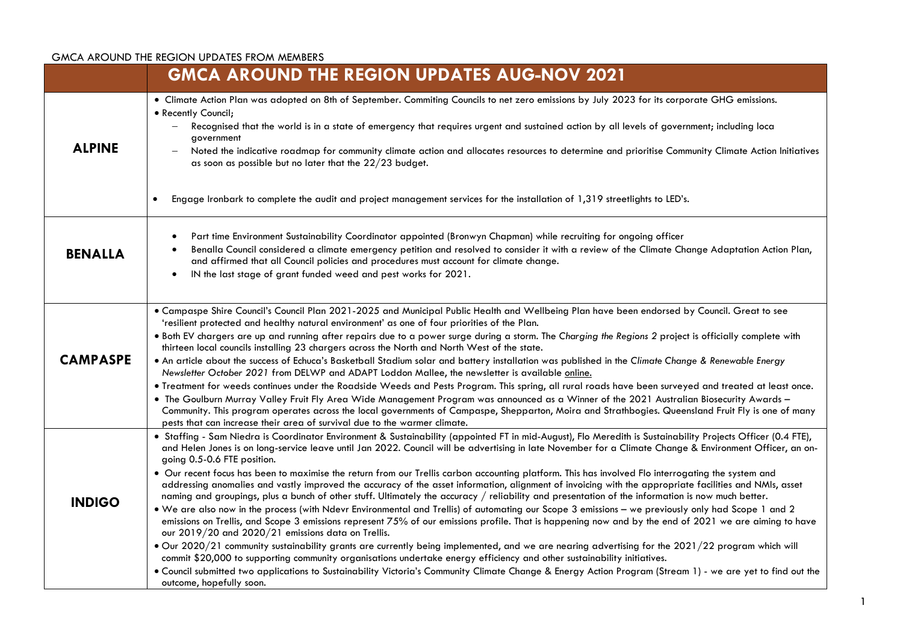|                 | <b>GMCA AROUND THE REGION UPDATES AUG-NOV 2021</b>                                                                                                                                                                                                                                                                                                                                                                                                                                                                                                                                                                                                                                                                                                                                                                                                                                                                                                                                                                                                                                                                                                                                                                                                                                                                                                                                                                                                                                                                                                                                                                                                                         |
|-----------------|----------------------------------------------------------------------------------------------------------------------------------------------------------------------------------------------------------------------------------------------------------------------------------------------------------------------------------------------------------------------------------------------------------------------------------------------------------------------------------------------------------------------------------------------------------------------------------------------------------------------------------------------------------------------------------------------------------------------------------------------------------------------------------------------------------------------------------------------------------------------------------------------------------------------------------------------------------------------------------------------------------------------------------------------------------------------------------------------------------------------------------------------------------------------------------------------------------------------------------------------------------------------------------------------------------------------------------------------------------------------------------------------------------------------------------------------------------------------------------------------------------------------------------------------------------------------------------------------------------------------------------------------------------------------------|
| <b>ALPINE</b>   | • Climate Action Plan was adopted on 8th of September. Commiting Councils to net zero emissions by July 2023 for its corporate GHG emissions.<br>• Recently Council;<br>Recognised that the world is in a state of emergency that requires urgent and sustained action by all levels of government; including loca<br>government<br>Noted the indicative roadmap for community climate action and allocates resources to determine and prioritise Community Climate Action Initiatives<br>as soon as possible but no later that the 22/23 budget.<br>Engage Ironbark to complete the audit and project management services for the installation of 1,319 streetlights to LED's.<br>$\bullet$                                                                                                                                                                                                                                                                                                                                                                                                                                                                                                                                                                                                                                                                                                                                                                                                                                                                                                                                                                               |
| <b>BENALLA</b>  | Part time Environment Sustainability Coordinator appointed (Bronwyn Chapman) while recruiting for ongoing officer<br>Benalla Council considered a climate emergency petition and resolved to consider it with a review of the Climate Change Adaptation Action Plan,<br>and affirmed that all Council policies and procedures must account for climate change.<br>IN the last stage of grant funded weed and pest works for 2021.<br>$\bullet$                                                                                                                                                                                                                                                                                                                                                                                                                                                                                                                                                                                                                                                                                                                                                                                                                                                                                                                                                                                                                                                                                                                                                                                                                             |
| <b>CAMPASPE</b> | · Campaspe Shire Council's Council Plan 2021-2025 and Municipal Public Health and Wellbeing Plan have been endorsed by Council. Great to see<br>'resilient protected and healthy natural environment' as one of four priorities of the Plan.<br>. Both EV chargers are up and running after repairs due to a power surge during a storm. The Charging the Regions 2 project is officially complete with<br>thirteen local councils installing 23 chargers across the North and North West of the state.<br>• An article about the success of Echuca's Basketball Stadium solar and battery installation was published in the Climate Change & Renewable Energy<br>Newsletter October 2021 from DELWP and ADAPT Loddon Mallee, the newsletter is available online.<br>. Treatment for weeds continues under the Roadside Weeds and Pests Program. This spring, all rural roads have been surveyed and treated at least once.<br>. The Goulburn Murray Valley Fruit Fly Area Wide Management Program was announced as a Winner of the 2021 Australian Biosecurity Awards -<br>Community. This program operates across the local governments of Campaspe, Shepparton, Moira and Strathbogies. Queensland Fruit Fly is one of many<br>pests that can increase their area of survival due to the warmer climate.                                                                                                                                                                                                                                                                                                                                                                |
| <b>INDIGO</b>   | . Staffing - Sam Niedra is Coordinator Environment & Sustainability (appointed FT in mid-August), Flo Meredith is Sustainability Projects Officer (0.4 FTE),<br>and Helen Jones is on long-service leave until Jan 2022. Council will be advertising in late November for a Climate Change & Environment Officer, an on-<br>going 0.5-0.6 FTE position.<br>. Our recent focus has been to maximise the return from our Trellis carbon accounting platform. This has involved Flo interrogating the system and<br>addressing anomalies and vastly improved the accuracy of the asset information, alignment of invoicing with the appropriate facilities and NMIs, asset<br>naming and groupings, plus a bunch of other stuff. Ultimately the accuracy / reliability and presentation of the information is now much better.<br>. We are also now in the process (with Ndevr Environmental and Trellis) of automating our Scope 3 emissions - we previously only had Scope 1 and 2<br>emissions on Trellis, and Scope 3 emissions represent 75% of our emissions profile. That is happening now and by the end of 2021 we are aiming to have<br>our 2019/20 and 2020/21 emissions data on Trellis.<br>. Our 2020/21 community sustainability grants are currently being implemented, and we are nearing advertising for the 2021/22 program which will<br>commit \$20,000 to supporting community organisations undertake energy efficiency and other sustainability initiatives.<br>. Council submitted two applications to Sustainability Victoria's Community Climate Change & Energy Action Program (Stream 1) - we are yet to find out the<br>outcome, hopefully soon. |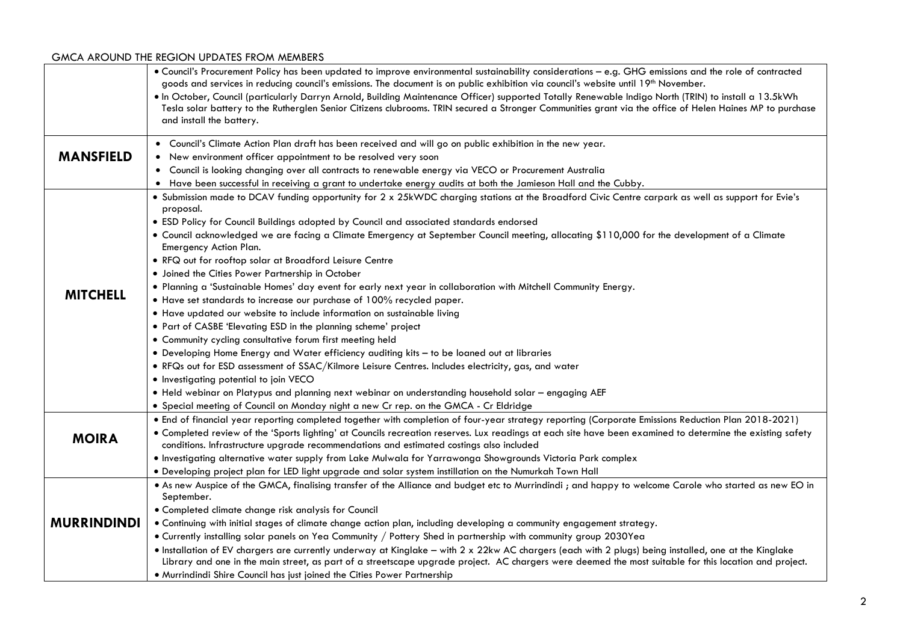|                    | . Council's Procurement Policy has been updated to improve environmental sustainability considerations - e.g. GHG emissions and the role of contracted<br>goods and services in reducing council's emissions. The document is on public exhibition via council's website until 19th November.<br>. In October, Council (particularly Darryn Arnold, Building Maintenance Officer) supported Totally Renewable Indigo North (TRIN) to install a 13.5kWh<br>Tesla solar battery to the Rutherglen Senior Citizens clubrooms. TRIN secured a Stronger Communities grant via the office of Helen Haines MP to purchase<br>and install the battery. |
|--------------------|------------------------------------------------------------------------------------------------------------------------------------------------------------------------------------------------------------------------------------------------------------------------------------------------------------------------------------------------------------------------------------------------------------------------------------------------------------------------------------------------------------------------------------------------------------------------------------------------------------------------------------------------|
|                    | . Council's Climate Action Plan draft has been received and will go on public exhibition in the new year.                                                                                                                                                                                                                                                                                                                                                                                                                                                                                                                                      |
| <b>MANSFIELD</b>   | • New environment officer appointment to be resolved very soon                                                                                                                                                                                                                                                                                                                                                                                                                                                                                                                                                                                 |
|                    | • Council is looking changing over all contracts to renewable energy via VECO or Procurement Australia                                                                                                                                                                                                                                                                                                                                                                                                                                                                                                                                         |
|                    | • Have been successful in receiving a grant to undertake energy audits at both the Jamieson Hall and the Cubby.                                                                                                                                                                                                                                                                                                                                                                                                                                                                                                                                |
|                    | . Submission made to DCAV funding opportunity for 2 x 25kWDC charging stations at the Broadford Civic Centre carpark as well as support for Evie's<br>proposal.                                                                                                                                                                                                                                                                                                                                                                                                                                                                                |
|                    | • ESD Policy for Council Buildings adopted by Council and associated standards endorsed                                                                                                                                                                                                                                                                                                                                                                                                                                                                                                                                                        |
|                    | • Council acknowledged we are facing a Climate Emergency at September Council meeting, allocating \$110,000 for the development of a Climate<br>Emergency Action Plan.                                                                                                                                                                                                                                                                                                                                                                                                                                                                         |
|                    | . RFQ out for rooftop solar at Broadford Leisure Centre                                                                                                                                                                                                                                                                                                                                                                                                                                                                                                                                                                                        |
|                    | • Joined the Cities Power Partnership in October                                                                                                                                                                                                                                                                                                                                                                                                                                                                                                                                                                                               |
|                    | . Planning a 'Sustainable Homes' day event for early next year in collaboration with Mitchell Community Energy.                                                                                                                                                                                                                                                                                                                                                                                                                                                                                                                                |
| <b>MITCHELL</b>    | • Have set standards to increase our purchase of 100% recycled paper.                                                                                                                                                                                                                                                                                                                                                                                                                                                                                                                                                                          |
|                    | • Have updated our website to include information on sustainable living                                                                                                                                                                                                                                                                                                                                                                                                                                                                                                                                                                        |
|                    | • Part of CASBE 'Elevating ESD in the planning scheme' project                                                                                                                                                                                                                                                                                                                                                                                                                                                                                                                                                                                 |
|                    | • Community cycling consultative forum first meeting held                                                                                                                                                                                                                                                                                                                                                                                                                                                                                                                                                                                      |
|                    | . Developing Home Energy and Water efficiency auditing kits - to be loaned out at libraries                                                                                                                                                                                                                                                                                                                                                                                                                                                                                                                                                    |
|                    | . RFQs out for ESD assessment of SSAC/Kilmore Leisure Centres. Includes electricity, gas, and water                                                                                                                                                                                                                                                                                                                                                                                                                                                                                                                                            |
|                    | • Investigating potential to join VECO                                                                                                                                                                                                                                                                                                                                                                                                                                                                                                                                                                                                         |
|                    | . Held webinar on Platypus and planning next webinar on understanding household solar - engaging AEF                                                                                                                                                                                                                                                                                                                                                                                                                                                                                                                                           |
|                    | . Special meeting of Council on Monday night a new Cr rep. on the GMCA - Cr Eldridge                                                                                                                                                                                                                                                                                                                                                                                                                                                                                                                                                           |
| <b>MOIRA</b>       | . End of financial year reporting completed together with completion of four-year strategy reporting (Corporate Emissions Reduction Plan 2018-2021)<br>• Completed review of the 'Sports lighting' at Councils recreation reserves. Lux readings at each site have been examined to determine the existing safety<br>conditions. Infrastructure upgrade recommendations and estimated costings also included                                                                                                                                                                                                                                   |
|                    | . Investigating alternative water supply from Lake Mulwala for Yarrawonga Showgrounds Victoria Park complex                                                                                                                                                                                                                                                                                                                                                                                                                                                                                                                                    |
|                    | . Developing project plan for LED light upgrade and solar system instillation on the Numurkah Town Hall                                                                                                                                                                                                                                                                                                                                                                                                                                                                                                                                        |
| <b>MURRINDINDI</b> | . As new Auspice of the GMCA, finalising transfer of the Alliance and budget etc to Murrindindi; and happy to welcome Carole who started as new EO in<br>September.                                                                                                                                                                                                                                                                                                                                                                                                                                                                            |
|                    | · Completed climate change risk analysis for Council                                                                                                                                                                                                                                                                                                                                                                                                                                                                                                                                                                                           |
|                    | . Continuing with initial stages of climate change action plan, including developing a community engagement strategy.                                                                                                                                                                                                                                                                                                                                                                                                                                                                                                                          |
|                    | . Currently installing solar panels on Yea Community / Pottery Shed in partnership with community group 2030Yea                                                                                                                                                                                                                                                                                                                                                                                                                                                                                                                                |
|                    | . Installation of EV chargers are currently underway at Kinglake - with 2 x 22kw AC chargers (each with 2 plugs) being installed, one at the Kinglake<br>Library and one in the main street, as part of a streetscape upgrade project. AC chargers were deemed the most suitable for this location and project.<br>. Murrindindi Shire Council has just joined the Cities Power Partnership                                                                                                                                                                                                                                                    |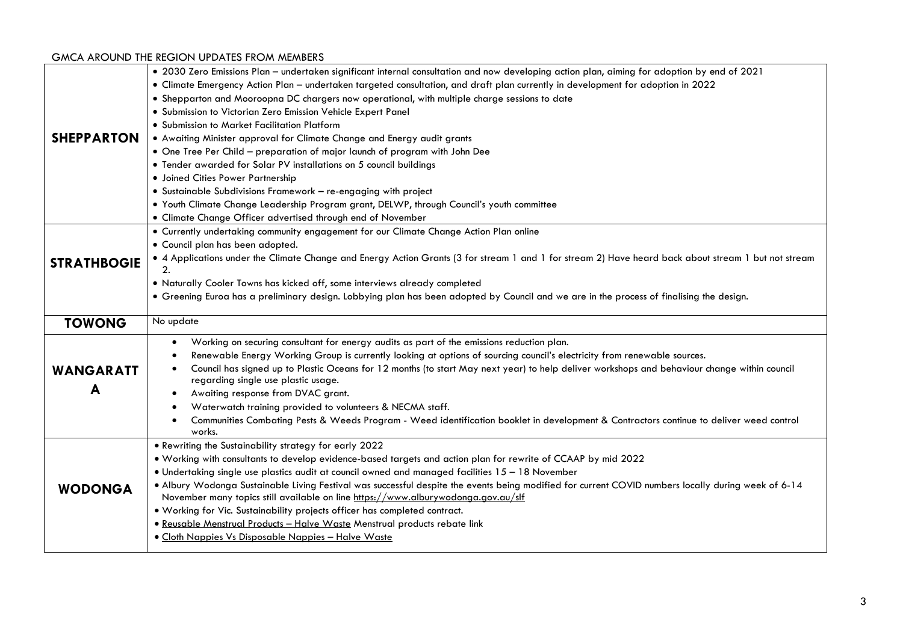|                    | • 2030 Zero Emissions Plan - undertaken significant internal consultation and now developing action plan, aiming for adoption by end of 2021         |
|--------------------|------------------------------------------------------------------------------------------------------------------------------------------------------|
|                    | • Climate Emergency Action Plan - undertaken targeted consultation, and draft plan currently in development for adoption in 2022                     |
|                    | • Shepparton and Mooroopna DC chargers now operational, with multiple charge sessions to date                                                        |
|                    | · Submission to Victorian Zero Emission Vehicle Expert Panel                                                                                         |
|                    | • Submission to Market Facilitation Platform                                                                                                         |
| <b>SHEPPARTON</b>  | . Awaiting Minister approval for Climate Change and Energy audit grants                                                                              |
|                    | . One Tree Per Child - preparation of major launch of program with John Dee                                                                          |
|                    | • Tender awarded for Solar PV installations on 5 council buildings                                                                                   |
|                    | · Joined Cities Power Partnership                                                                                                                    |
|                    | • Sustainable Subdivisions Framework - re-engaging with project                                                                                      |
|                    | . Youth Climate Change Leadership Program grant, DELWP, through Council's youth committee                                                            |
|                    | · Climate Change Officer advertised through end of November                                                                                          |
|                    | • Currently undertaking community engagement for our Climate Change Action Plan online                                                               |
|                    | • Council plan has been adopted.                                                                                                                     |
| <b>STRATHBOGIE</b> | • 4 Applications under the Climate Change and Energy Action Grants (3 for stream 1 and 1 for stream 2) Have heard back about stream 1 but not stream |
|                    | 2.                                                                                                                                                   |
|                    | . Naturally Cooler Towns has kicked off, some interviews already completed                                                                           |
|                    | • Greening Euroa has a preliminary design. Lobbying plan has been adopted by Council and we are in the process of finalising the design.             |
|                    |                                                                                                                                                      |
| <b>TOWONG</b>      | No update                                                                                                                                            |
|                    | Working on securing consultant for energy audits as part of the emissions reduction plan.<br>$\bullet$                                               |
|                    | Renewable Energy Working Group is currently looking at options of sourcing council's electricity from renewable sources.<br>٠                        |
|                    | Council has signed up to Plastic Oceans for 12 months (to start May next year) to help deliver workshops and behaviour change within council         |
| <b>WANGARATT</b>   | regarding single use plastic usage.                                                                                                                  |
| A                  | Awaiting response from DVAC grant.                                                                                                                   |
|                    | Waterwatch training provided to volunteers & NECMA staff.                                                                                            |
|                    | Communities Combating Pests & Weeds Program - Weed identification booklet in development & Contractors continue to deliver weed control              |
|                    | works.                                                                                                                                               |
|                    | . Rewriting the Sustainability strategy for early 2022                                                                                               |
|                    | . Working with consultants to develop evidence-based targets and action plan for rewrite of CCAAP by mid 2022                                        |
|                    | • Undertaking single use plastics audit at council owned and managed facilities 15 - 18 November                                                     |
| <b>WODONGA</b>     | . Albury Wodonga Sustainable Living Festival was successful despite the events being modified for current COVID numbers locally during week of 6-14  |
|                    | November many topics still available on line https://www.alburywodonga.gov.au/slf                                                                    |
|                    | . Working for Vic. Sustainability projects officer has completed contract.                                                                           |
|                    | · Reusable Menstrual Products - Halve Waste Menstrual products rebate link<br>• Cloth Nappies Vs Disposable Nappies - Halve Waste                    |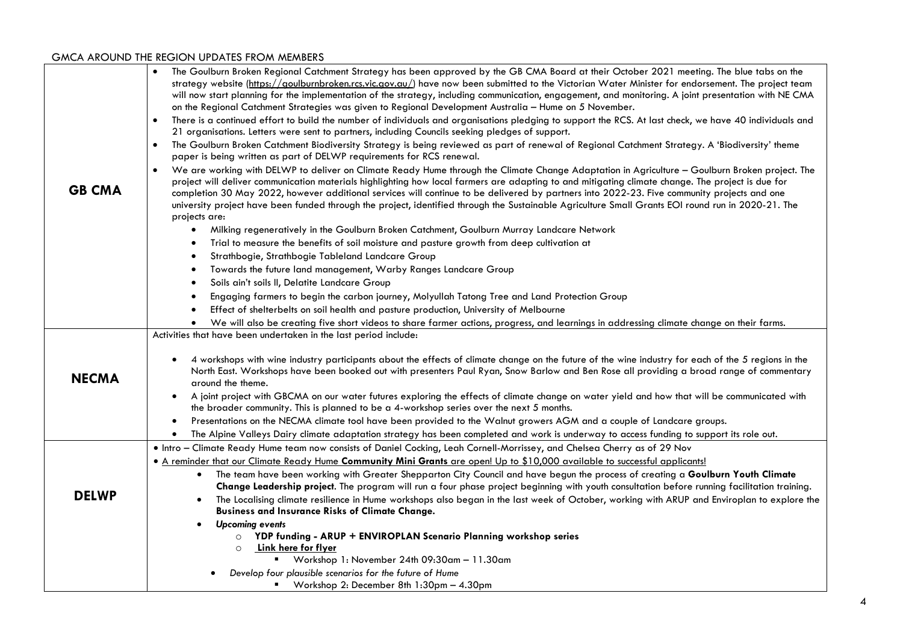| <b>GB CMA</b> | The Goulburn Broken Regional Catchment Strategy has been approved by the GB CMA Board at their October 2021 meeting. The blue tabs on the<br>strategy website (https://goulburnbroken.rcs.vic.gov.au/) have now been submitted to the Victorian Water Minister for endorsement. The project team<br>will now start planning for the implementation of the strategy, including communication, engagement, and monitoring. A joint presentation with NE CMA<br>on the Regional Catchment Strategies was given to Regional Development Australia - Hume on 5 November.<br>There is a continued effort to build the number of individuals and organisations pledging to support the RCS. At last check, we have 40 individuals and<br>21 organisations. Letters were sent to partners, including Councils seeking pledges of support.<br>The Goulburn Broken Catchment Biodiversity Strategy is being reviewed as part of renewal of Regional Catchment Strategy. A 'Biodiversity' theme<br>$\bullet$<br>paper is being written as part of DELWP requirements for RCS renewal.<br>We are working with DELWP to deliver on Climate Ready Hume through the Climate Change Adaptation in Agriculture - Goulburn Broken project. The<br>project will deliver communication materials highlighting how local farmers are adapting to and mitigating climate change. The project is due for<br>completion 30 May 2022, however additional services will continue to be delivered by partners into 2022-23. Five community projects and one |
|---------------|----------------------------------------------------------------------------------------------------------------------------------------------------------------------------------------------------------------------------------------------------------------------------------------------------------------------------------------------------------------------------------------------------------------------------------------------------------------------------------------------------------------------------------------------------------------------------------------------------------------------------------------------------------------------------------------------------------------------------------------------------------------------------------------------------------------------------------------------------------------------------------------------------------------------------------------------------------------------------------------------------------------------------------------------------------------------------------------------------------------------------------------------------------------------------------------------------------------------------------------------------------------------------------------------------------------------------------------------------------------------------------------------------------------------------------------------------------------------------------------------------------------------------------|
|               | university project have been funded through the project, identified through the Sustainable Agriculture Small Grants EOI round run in 2020-21. The<br>projects are:                                                                                                                                                                                                                                                                                                                                                                                                                                                                                                                                                                                                                                                                                                                                                                                                                                                                                                                                                                                                                                                                                                                                                                                                                                                                                                                                                              |
|               | Milking regeneratively in the Goulburn Broken Catchment, Goulburn Murray Landcare Network<br>$\bullet$                                                                                                                                                                                                                                                                                                                                                                                                                                                                                                                                                                                                                                                                                                                                                                                                                                                                                                                                                                                                                                                                                                                                                                                                                                                                                                                                                                                                                           |
|               | Trial to measure the benefits of soil moisture and pasture growth from deep cultivation at<br>$\bullet$                                                                                                                                                                                                                                                                                                                                                                                                                                                                                                                                                                                                                                                                                                                                                                                                                                                                                                                                                                                                                                                                                                                                                                                                                                                                                                                                                                                                                          |
|               | Strathbogie, Strathbogie Tableland Landcare Group<br>$\bullet$                                                                                                                                                                                                                                                                                                                                                                                                                                                                                                                                                                                                                                                                                                                                                                                                                                                                                                                                                                                                                                                                                                                                                                                                                                                                                                                                                                                                                                                                   |
|               | Towards the future land management, Warby Ranges Landcare Group<br>$\bullet$                                                                                                                                                                                                                                                                                                                                                                                                                                                                                                                                                                                                                                                                                                                                                                                                                                                                                                                                                                                                                                                                                                                                                                                                                                                                                                                                                                                                                                                     |
|               | Soils ain't soils II, Delatite Landcare Group<br>$\bullet$                                                                                                                                                                                                                                                                                                                                                                                                                                                                                                                                                                                                                                                                                                                                                                                                                                                                                                                                                                                                                                                                                                                                                                                                                                                                                                                                                                                                                                                                       |
|               | Engaging farmers to begin the carbon journey, Molyullah Tatong Tree and Land Protection Group<br>$\bullet$                                                                                                                                                                                                                                                                                                                                                                                                                                                                                                                                                                                                                                                                                                                                                                                                                                                                                                                                                                                                                                                                                                                                                                                                                                                                                                                                                                                                                       |
|               | Effect of shelterbelts on soil health and pasture production, University of Melbourne                                                                                                                                                                                                                                                                                                                                                                                                                                                                                                                                                                                                                                                                                                                                                                                                                                                                                                                                                                                                                                                                                                                                                                                                                                                                                                                                                                                                                                            |
|               | We will also be creating five short videos to share farmer actions, progress, and learnings in addressing climate change on their farms.                                                                                                                                                                                                                                                                                                                                                                                                                                                                                                                                                                                                                                                                                                                                                                                                                                                                                                                                                                                                                                                                                                                                                                                                                                                                                                                                                                                         |
|               | Activities that have been undertaken in the last period include:                                                                                                                                                                                                                                                                                                                                                                                                                                                                                                                                                                                                                                                                                                                                                                                                                                                                                                                                                                                                                                                                                                                                                                                                                                                                                                                                                                                                                                                                 |
| <b>NECMA</b>  | 4 workshops with wine industry participants about the effects of climate change on the future of the wine industry for each of the 5 regions in the<br>North East. Workshops have been booked out with presenters Paul Ryan, Snow Barlow and Ben Rose all providing a broad range of commentary<br>around the theme.                                                                                                                                                                                                                                                                                                                                                                                                                                                                                                                                                                                                                                                                                                                                                                                                                                                                                                                                                                                                                                                                                                                                                                                                             |
|               | A joint project with GBCMA on our water futures exploring the effects of climate change on water yield and how that will be communicated with<br>$\bullet$<br>the broader community. This is planned to be a 4-workshop series over the next 5 months.                                                                                                                                                                                                                                                                                                                                                                                                                                                                                                                                                                                                                                                                                                                                                                                                                                                                                                                                                                                                                                                                                                                                                                                                                                                                           |
|               | Presentations on the NECMA climate tool have been provided to the Walnut growers AGM and a couple of Landcare groups.<br>$\bullet$                                                                                                                                                                                                                                                                                                                                                                                                                                                                                                                                                                                                                                                                                                                                                                                                                                                                                                                                                                                                                                                                                                                                                                                                                                                                                                                                                                                               |
|               | The Alpine Valleys Dairy climate adaptation strategy has been completed and work is underway to access funding to support its role out.<br>$\bullet$                                                                                                                                                                                                                                                                                                                                                                                                                                                                                                                                                                                                                                                                                                                                                                                                                                                                                                                                                                                                                                                                                                                                                                                                                                                                                                                                                                             |
|               | . Intro - Climate Ready Hume team now consists of Daniel Cocking, Leah Cornell-Morrissey, and Chelsea Cherry as of 29 Nov                                                                                                                                                                                                                                                                                                                                                                                                                                                                                                                                                                                                                                                                                                                                                                                                                                                                                                                                                                                                                                                                                                                                                                                                                                                                                                                                                                                                        |
|               | • A reminder that our Climate Ready Hume Community Mini Grants are open! Up to \$10,000 available to successful applicants!                                                                                                                                                                                                                                                                                                                                                                                                                                                                                                                                                                                                                                                                                                                                                                                                                                                                                                                                                                                                                                                                                                                                                                                                                                                                                                                                                                                                      |
|               | The team have been working with Greater Shepparton City Council and have begun the process of creating a Goulburn Youth Climate<br>$\bullet$                                                                                                                                                                                                                                                                                                                                                                                                                                                                                                                                                                                                                                                                                                                                                                                                                                                                                                                                                                                                                                                                                                                                                                                                                                                                                                                                                                                     |
| <b>DELWP</b>  | Change Leadership project. The program will run a four phase project beginning with youth consultation before running facilitation training.                                                                                                                                                                                                                                                                                                                                                                                                                                                                                                                                                                                                                                                                                                                                                                                                                                                                                                                                                                                                                                                                                                                                                                                                                                                                                                                                                                                     |
|               | The Localising climate resilience in Hume workshops also began in the last week of October, working with ARUP and Enviroplan to explore the<br>$\bullet$<br><b>Business and Insurance Risks of Climate Change.</b>                                                                                                                                                                                                                                                                                                                                                                                                                                                                                                                                                                                                                                                                                                                                                                                                                                                                                                                                                                                                                                                                                                                                                                                                                                                                                                               |
|               | <b>Upcoming events</b><br>$\bullet$                                                                                                                                                                                                                                                                                                                                                                                                                                                                                                                                                                                                                                                                                                                                                                                                                                                                                                                                                                                                                                                                                                                                                                                                                                                                                                                                                                                                                                                                                              |
|               | YDP funding - ARUP + ENVIROPLAN Scenario Planning workshop series<br>$\circ$<br>Link here for flyer<br>$\circ$                                                                                                                                                                                                                                                                                                                                                                                                                                                                                                                                                                                                                                                                                                                                                                                                                                                                                                                                                                                                                                                                                                                                                                                                                                                                                                                                                                                                                   |
|               | Workshop 1: November 24th 09:30am - 11.30am                                                                                                                                                                                                                                                                                                                                                                                                                                                                                                                                                                                                                                                                                                                                                                                                                                                                                                                                                                                                                                                                                                                                                                                                                                                                                                                                                                                                                                                                                      |
|               | Develop four plausible scenarios for the future of Hume                                                                                                                                                                                                                                                                                                                                                                                                                                                                                                                                                                                                                                                                                                                                                                                                                                                                                                                                                                                                                                                                                                                                                                                                                                                                                                                                                                                                                                                                          |
|               | Workshop 2: December 8th 1:30pm - 4.30pm                                                                                                                                                                                                                                                                                                                                                                                                                                                                                                                                                                                                                                                                                                                                                                                                                                                                                                                                                                                                                                                                                                                                                                                                                                                                                                                                                                                                                                                                                         |